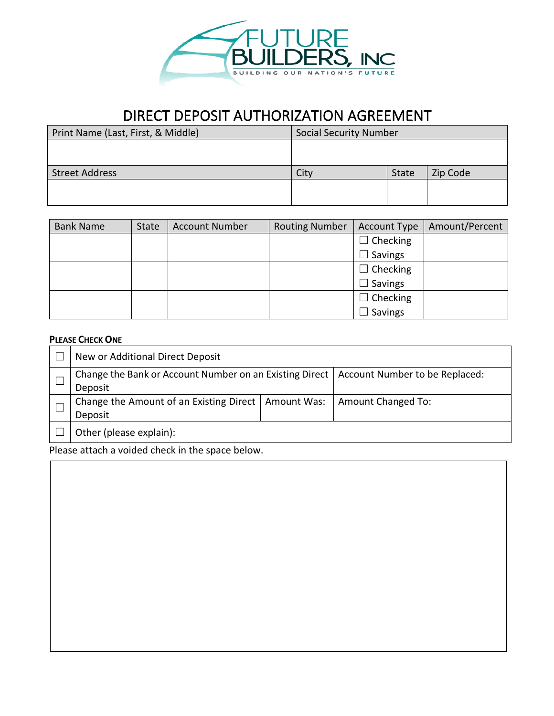

## DIRECT DEPOSIT AUTHORIZATION AGREEMENT

| Print Name (Last, First, & Middle) | Social Security Number |       |          |
|------------------------------------|------------------------|-------|----------|
|                                    |                        |       |          |
|                                    |                        |       |          |
| <b>Street Address</b>              | City                   | State | Zip Code |
|                                    |                        |       |          |
|                                    |                        |       |          |

| <b>Bank Name</b> | State | <b>Account Number</b> | <b>Routing Number</b> | <b>Account Type</b> | Amount/Percent |
|------------------|-------|-----------------------|-----------------------|---------------------|----------------|
|                  |       |                       |                       | $\Box$ Checking     |                |
|                  |       |                       |                       | $\Box$ Savings      |                |
|                  |       |                       |                       | $\Box$ Checking     |                |
|                  |       |                       |                       | $\Box$ Savings      |                |
|                  |       |                       |                       | $\Box$ Checking     |                |
|                  |       |                       |                       | Savings             |                |

## **PLEASE CHECK ONE**

| New or Additional Direct Deposit                                                                    |                    |
|-----------------------------------------------------------------------------------------------------|--------------------|
| Change the Bank or Account Number on an Existing Direct   Account Number to be Replaced:<br>Deposit |                    |
| Change the Amount of an Existing Direct   Amount Was:<br>Deposit                                    | Amount Changed To: |
| Other (please explain):                                                                             |                    |

Please attach a voided check in the space below.